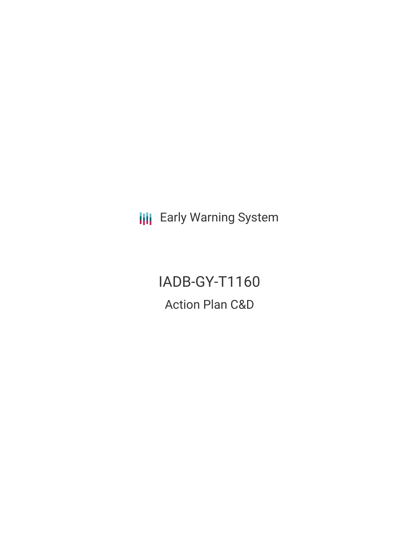**III** Early Warning System

IADB-GY-T1160 Action Plan C&D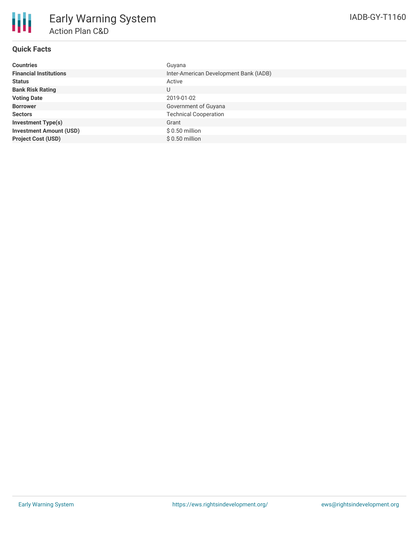## **Quick Facts**

| <b>Countries</b>               | Guyana                                 |
|--------------------------------|----------------------------------------|
| <b>Financial Institutions</b>  | Inter-American Development Bank (IADB) |
| <b>Status</b>                  | Active                                 |
| <b>Bank Risk Rating</b>        | U                                      |
| <b>Voting Date</b>             | 2019-01-02                             |
| <b>Borrower</b>                | Government of Guyana                   |
| <b>Sectors</b>                 | <b>Technical Cooperation</b>           |
| <b>Investment Type(s)</b>      | Grant                                  |
| <b>Investment Amount (USD)</b> | $$0.50$ million                        |
| <b>Project Cost (USD)</b>      | $$0.50$ million                        |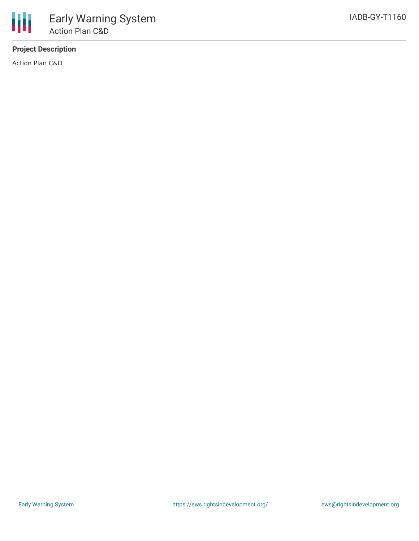## **Project Description**

Action Plan C&D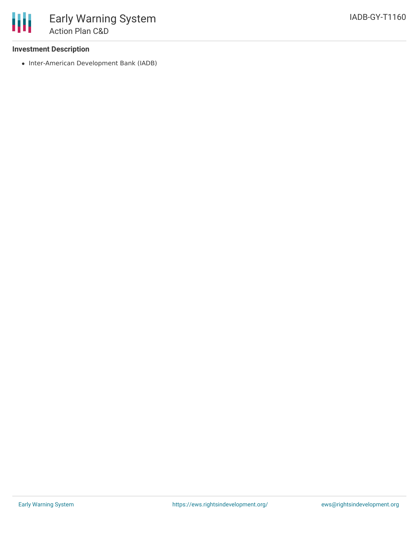• Inter-American Development Bank (IADB)